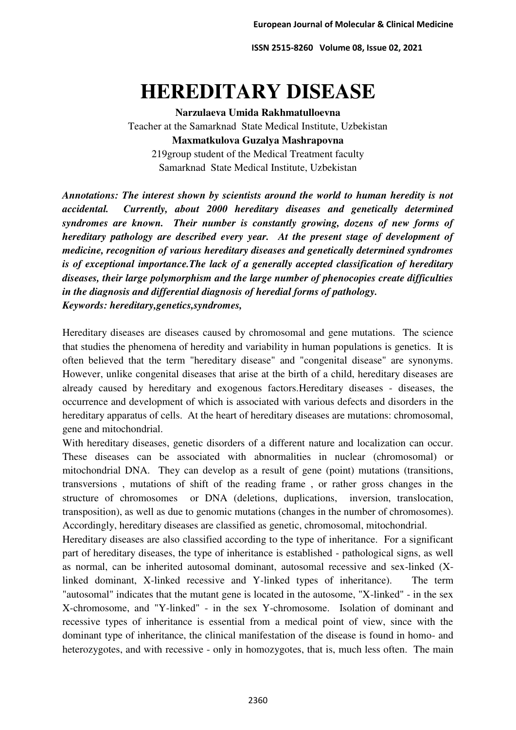**ISSN 2515-8260 Volume 08, Issue 02, 2021** 

## **HEREDITARY DISEASE**

**Narzulaeva Umida Rakhmatulloevna**  Teacher at the Samarknad State Medical Institute, Uzbekistan **Maxmatkulova Guzalya Mashrapovna**  219group student of the Medical Treatment faculty Samarknad State Medical Institute, Uzbekistan

*Annotations: The interest shown by scientists around the world to human heredity is not accidental. Currently, about 2000 hereditary diseases and genetically determined syndromes are known. Their number is constantly growing, dozens of new forms of hereditary pathology are described every year. At the present stage of development of medicine, recognition of various hereditary diseases and genetically determined syndromes is of exceptional importance.The lack of a generally accepted classification of hereditary diseases, their large polymorphism and the large number of phenocopies create difficulties in the diagnosis and differential diagnosis of heredial forms of pathology. Keywords: hereditary,genetics,syndromes,* 

Hereditary diseases are diseases caused by chromosomal and gene mutations. The science that studies the phenomena of heredity and variability in human populations is genetics. It is often believed that the term "hereditary disease" and "congenital disease" are synonyms. However, unlike congenital diseases that arise at the birth of a child, hereditary diseases are already caused by hereditary and exogenous factors.Hereditary diseases - diseases, the occurrence and development of which is associated with various defects and disorders in the hereditary apparatus of cells. At the heart of hereditary diseases are mutations: chromosomal, gene and mitochondrial.

With hereditary diseases, genetic disorders of a different nature and localization can occur. These diseases can be associated with abnormalities in nuclear (chromosomal) or mitochondrial DNA. They can develop as a result of gene (point) mutations (transitions, transversions , mutations of shift of the reading frame , or rather gross changes in the structure of chromosomes or DNA (deletions, duplications, inversion, translocation, transposition), as well as due to genomic mutations (changes in the number of chromosomes). Accordingly, hereditary diseases are classified as genetic, chromosomal, mitochondrial.

Hereditary diseases are also classified according to the type of inheritance. For a significant part of hereditary diseases, the type of inheritance is established - pathological signs, as well as normal, can be inherited autosomal dominant, autosomal recessive and sex-linked (Xlinked dominant, X-linked recessive and Y-linked types of inheritance). The term "autosomal" indicates that the mutant gene is located in the autosome, "X-linked" - in the sex X-chromosome, and "Y-linked" - in the sex Y-chromosome. Isolation of dominant and recessive types of inheritance is essential from a medical point of view, since with the dominant type of inheritance, the clinical manifestation of the disease is found in homo- and heterozygotes, and with recessive - only in homozygotes, that is, much less often. The main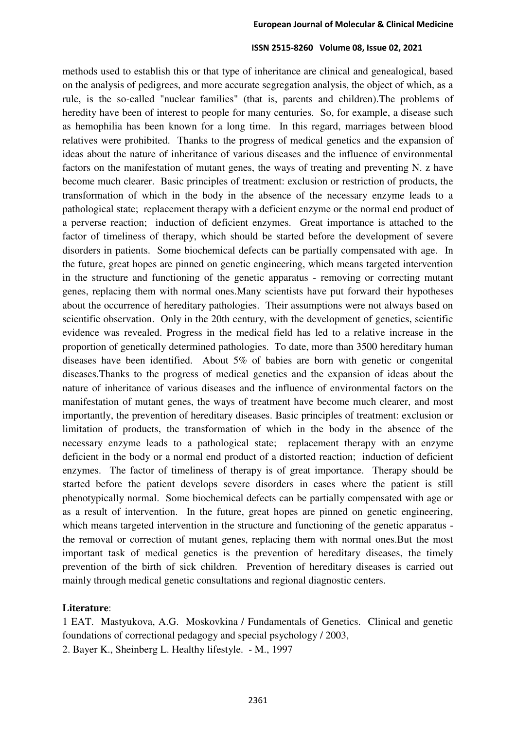## **ISSN 2515-8260 Volume 08, Issue 02, 2021**

methods used to establish this or that type of inheritance are clinical and genealogical, based on the analysis of pedigrees, and more accurate segregation analysis, the object of which, as a rule, is the so-called "nuclear families" (that is, parents and children).The problems of heredity have been of interest to people for many centuries. So, for example, a disease such as hemophilia has been known for a long time. In this regard, marriages between blood relatives were prohibited. Thanks to the progress of medical genetics and the expansion of ideas about the nature of inheritance of various diseases and the influence of environmental factors on the manifestation of mutant genes, the ways of treating and preventing N. z have become much clearer. Basic principles of treatment: exclusion or restriction of products, the transformation of which in the body in the absence of the necessary enzyme leads to a pathological state; replacement therapy with a deficient enzyme or the normal end product of a perverse reaction; induction of deficient enzymes. Great importance is attached to the factor of timeliness of therapy, which should be started before the development of severe disorders in patients. Some biochemical defects can be partially compensated with age. In the future, great hopes are pinned on genetic engineering, which means targeted intervention in the structure and functioning of the genetic apparatus - removing or correcting mutant genes, replacing them with normal ones.Many scientists have put forward their hypotheses about the occurrence of hereditary pathologies. Their assumptions were not always based on scientific observation. Only in the 20th century, with the development of genetics, scientific evidence was revealed. Progress in the medical field has led to a relative increase in the proportion of genetically determined pathologies. To date, more than 3500 hereditary human diseases have been identified. About 5% of babies are born with genetic or congenital diseases.Thanks to the progress of medical genetics and the expansion of ideas about the nature of inheritance of various diseases and the influence of environmental factors on the manifestation of mutant genes, the ways of treatment have become much clearer, and most importantly, the prevention of hereditary diseases. Basic principles of treatment: exclusion or limitation of products, the transformation of which in the body in the absence of the necessary enzyme leads to a pathological state; replacement therapy with an enzyme deficient in the body or a normal end product of a distorted reaction; induction of deficient enzymes. The factor of timeliness of therapy is of great importance. Therapy should be started before the patient develops severe disorders in cases where the patient is still phenotypically normal. Some biochemical defects can be partially compensated with age or as a result of intervention. In the future, great hopes are pinned on genetic engineering, which means targeted intervention in the structure and functioning of the genetic apparatus the removal or correction of mutant genes, replacing them with normal ones.But the most important task of medical genetics is the prevention of hereditary diseases, the timely prevention of the birth of sick children. Prevention of hereditary diseases is carried out mainly through medical genetic consultations and regional diagnostic centers.

## **Literature**:

1 EAT. Mastyukova, A.G. Moskovkina / Fundamentals of Genetics. Clinical and genetic foundations of correctional pedagogy and special psychology / 2003, 2. Bayer K., Sheinberg L. Healthy lifestyle. - M., 1997